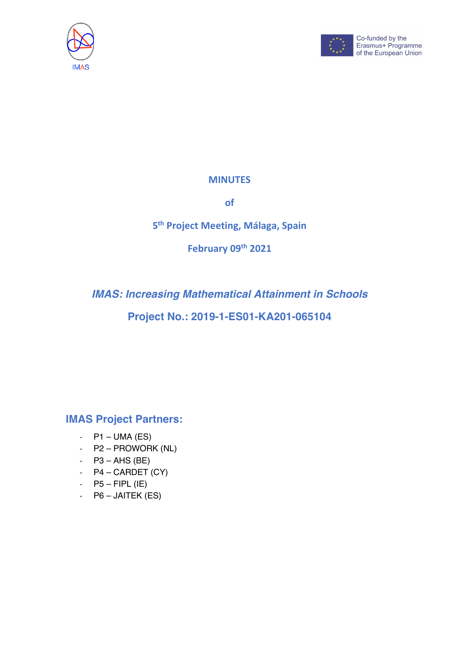



#### **MINUTES**

**of**

## **5th Project Meeting, Málaga, Spain**

**February 09th 2021**

# *IMAS: Increasing Mathematical Attainment in Schools*

## **Project No.: 2019-1-ES01-KA201-065104**

### **IMAS Project Partners:**

- $-$  P1 UMA (ES)
- P2 PROWORK (NL)
- $-$  P3 AHS (BE)
- $P4 CARDET (CY)$
- $-$  P5 FIPL (IE)
- P6 JAITEK (ES)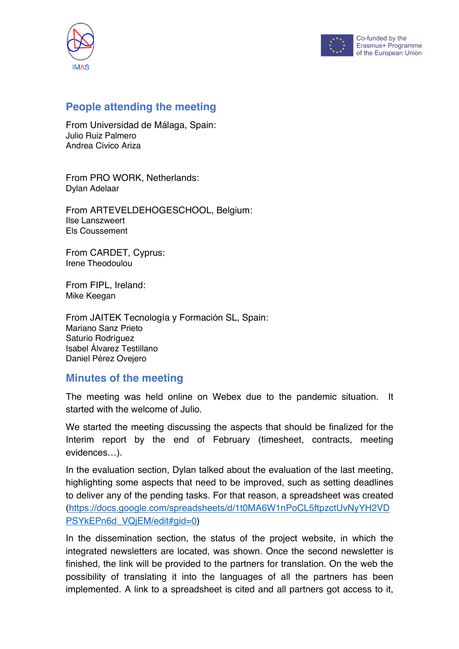



### **People attending the meeting**

From Universidad de Málaga, Spain: Julio Ruiz Palmero Andrea Cívico Ariza

From PRO WORK, Netherlands: Dylan Adelaar

From ARTEVELDEHOGESCHOOL, Belgium: Ilse Lanszweert Els Coussement

From CARDET, Cyprus: Irene Theodoulou

From FIPL, Ireland: Mike Keegan

From JAITEK Tecnología y Formación SL, Spain: Mariano Sanz Prieto Saturio Rodríguez Isabel Álvarez Testillano Daniel Pérez Ovejero

### **Minutes of the meeting**

The meeting was held online on Webex due to the pandemic situation. It started with the welcome of Julio.

We started the meeting discussing the aspects that should be finalized for the Interim report by the end of February (timesheet, contracts, meeting evidences…).

In the evaluation section, Dylan talked about the evaluation of the last meeting, highlighting some aspects that need to be improved, such as setting deadlines to deliver any of the pending tasks. For that reason, a spreadsheet was created (https://docs.google.com/spreadsheets/d/1t0MA6W1nPoCL5ftpzctUvNyYH2VD PSYkEPn6d\_VQjEM/edit#gid=0)

In the dissemination section, the status of the project website, in which the integrated newsletters are located, was shown. Once the second newsletter is finished, the link will be provided to the partners for translation. On the web the possibility of translating it into the languages of all the partners has been implemented. A link to a spreadsheet is cited and all partners got access to it,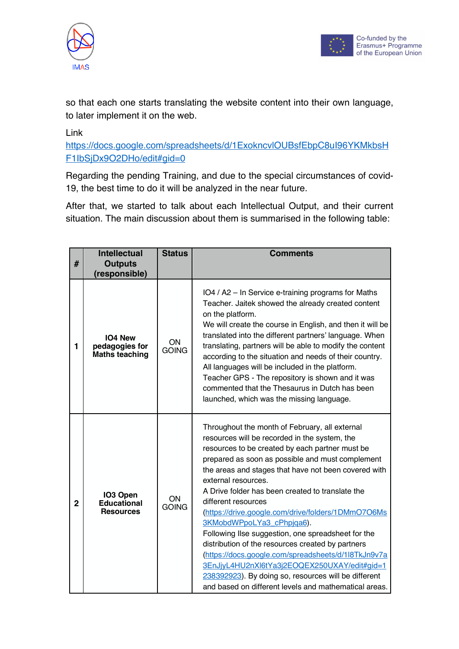



so that each one starts translating the website content into their own language, to later implement it on the web.

Link

https://docs.google.com/spreadsheets/d/1ExokncvlOUBsfEbpC8uI96YKMkbsH F1IbSjDx9O2DHo/edit#gid=0

Regarding the pending Training, and due to the special circumstances of covid-19, the best time to do it will be analyzed in the near future.

After that, we started to talk about each Intellectual Output, and their current situation. The main discussion about them is summarised in the following table:

|                | <b>Intellectual</b>                                | <b>Status</b>             | <b>Comments</b>                                                                                                                                                                                                                                                                                                                                                                                                                                                                                                                                                                                                                                                                                                                                                                        |
|----------------|----------------------------------------------------|---------------------------|----------------------------------------------------------------------------------------------------------------------------------------------------------------------------------------------------------------------------------------------------------------------------------------------------------------------------------------------------------------------------------------------------------------------------------------------------------------------------------------------------------------------------------------------------------------------------------------------------------------------------------------------------------------------------------------------------------------------------------------------------------------------------------------|
| #              | <b>Outputs</b><br>(responsible)                    |                           |                                                                                                                                                                                                                                                                                                                                                                                                                                                                                                                                                                                                                                                                                                                                                                                        |
| 1              | <b>IO4 New</b><br>pedagogies for<br>Maths teaching | ON<br><b>GOING</b>        | IO4 / A2 - In Service e-training programs for Maths<br>Teacher. Jaitek showed the already created content<br>on the platform.<br>We will create the course in English, and then it will be<br>translated into the different partners' language. When<br>translating, partners will be able to modify the content<br>according to the situation and needs of their country.<br>All languages will be included in the platform.<br>Teacher GPS - The repository is shown and it was<br>commented that the Thesaurus in Dutch has been<br>launched, which was the missing language.                                                                                                                                                                                                       |
| $\overline{2}$ | IO3 Open<br><b>Educational</b><br><b>Resources</b> | <b>ON</b><br><b>GOING</b> | Throughout the month of February, all external<br>resources will be recorded in the system, the<br>resources to be created by each partner must be<br>prepared as soon as possible and must complement<br>the areas and stages that have not been covered with<br>external resources.<br>A Drive folder has been created to translate the<br>different resources<br>(https://drive.google.com/drive/folders/1DMmO7O6Ms<br>3KMobdWPpoLYa3 cPhpiqa6).<br>Following Ilse suggestion, one spreadsheet for the<br>distribution of the resources created by partners<br>(https://docs.google.com/spreadsheets/d/1l8TkJn9v7a<br>3EnJjyL4HU2nXl6tYa3j2EOQEX250UXAY/edit#gid=1<br>238392923). By doing so, resources will be different<br>and based on different levels and mathematical areas. |